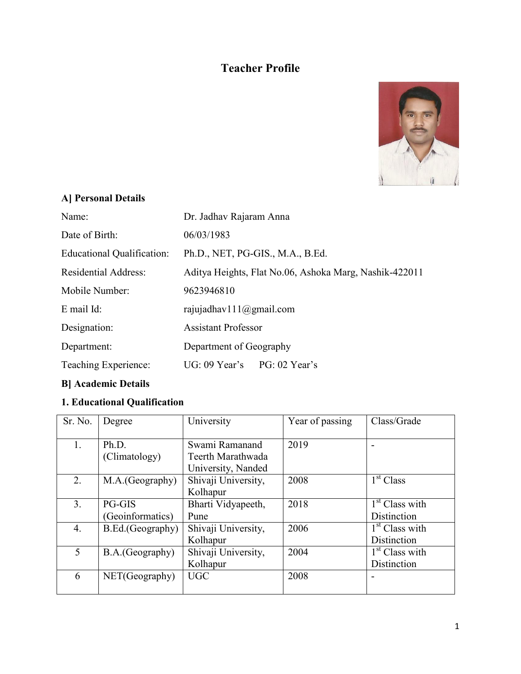## **Teacher Profile**



## **A] Personal Details**

| Name:                       | Dr. Jadhav Rajaram Anna                                |
|-----------------------------|--------------------------------------------------------|
| Date of Birth:              | 06/03/1983                                             |
| Educational Qualification:  | Ph.D., NET, PG-GIS., M.A., B.Ed.                       |
| <b>Residential Address:</b> | Aditya Heights, Flat No.06, Ashoka Marg, Nashik-422011 |
| Mobile Number:              | 9623946810                                             |
| $E$ mail $Id$ :             | rajujadhav $111$ ( $@g$ mail.com                       |
| Designation:                | <b>Assistant Professor</b>                             |
| Department:                 | Department of Geography                                |
| Teaching Experience:        | $UG: 09$ Year's PG: 02 Year's                          |

# **B] Academic Details**

### **1. Educational Qualification**

| Sr. No.        | Degree           | University          | Year of passing | Class/Grade                |
|----------------|------------------|---------------------|-----------------|----------------------------|
|                |                  |                     |                 |                            |
| 1.             | Ph.D.            | Swami Ramanand      | 2019            |                            |
|                | (Climatology)    | Teerth Marathwada   |                 |                            |
|                |                  | University, Nanded  |                 |                            |
| 2.             | M.A.(Geography)  | Shivaji University, | 2008            | 1 <sup>st</sup> Class      |
|                |                  | Kolhapur            |                 |                            |
| 3 <sub>1</sub> | <b>PG-GIS</b>    | Bharti Vidyapeeth,  | 2018            | 1 <sup>st</sup> Class with |
|                | (Geoinformatics) | Pune                |                 | Distinction                |
| 4.             | B.Ed.(Geography) | Shivaji University, | 2006            | 1 <sup>st</sup> Class with |
|                |                  | Kolhapur            |                 | Distinction                |
| 5              | B.A.(Geography)  | Shivaji University, | 2004            | 1 <sup>st</sup> Class with |
|                |                  | Kolhapur            |                 | Distinction                |
| 6              | NET(Geography)   | <b>UGC</b>          | 2008            |                            |
|                |                  |                     |                 |                            |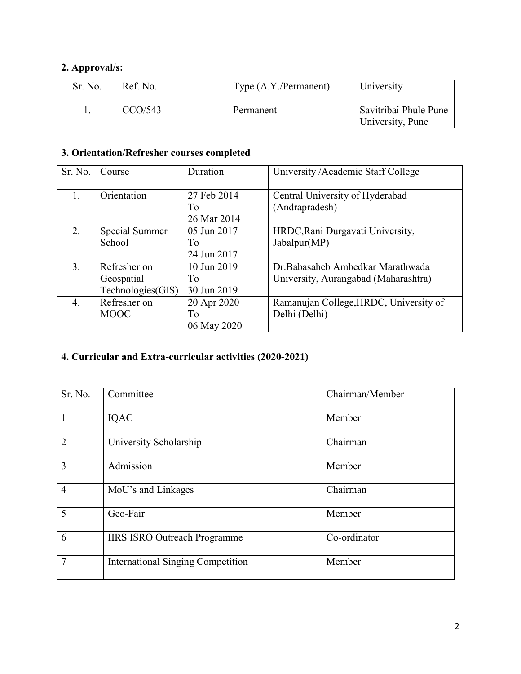## **2. Approval/s:**

| Sr. No. | Ref. No. | Type (A.Y./Permanent) | University                                |
|---------|----------|-----------------------|-------------------------------------------|
|         | CCO/543  | Permanent             | Savitribai Phule Pune<br>University, Pune |

## **3. Orientation/Refresher courses completed**

| Sr. No.          | Course            | Duration          | University / Academic Staff College               |
|------------------|-------------------|-------------------|---------------------------------------------------|
| 1.               | Orientation       | 27 Feb 2014<br>To | Central University of Hyderabad<br>(Andrapradesh) |
|                  |                   | 26 Mar 2014       |                                                   |
| 2.               | Special Summer    | 05 Jun 2017       | HRDC, Rani Durgavati University,                  |
|                  | School            | Tо                | Jabalpur(MP)                                      |
|                  |                   | 24 Jun 2017       |                                                   |
| 3 <sub>1</sub>   | Refresher on      | 10 Jun 2019       | Dr. Babasaheb Ambedkar Marathwada                 |
|                  | Geospatial        | To                | University, Aurangabad (Maharashtra)              |
|                  | Technologies(GIS) | 30 Jun 2019       |                                                   |
| $\overline{4}$ . | Refresher on      | 20 Apr 2020       | Ramanujan College, HRDC, University of            |
|                  | <b>MOOC</b>       | Тo                | Delhi (Delhi)                                     |
|                  |                   | 06 May 2020       |                                                   |

## **4. Curricular and Extra-curricular activities (2020-2021)**

| Sr. No.        | Committee                           | Chairman/Member |
|----------------|-------------------------------------|-----------------|
| 1              | IQAC                                | Member          |
| $\overline{2}$ | University Scholarship              | Chairman        |
| 3              | Admission                           | Member          |
| $\overline{4}$ | MoU's and Linkages                  | Chairman        |
| 5              | Geo-Fair                            | Member          |
| 6              | <b>IIRS ISRO Outreach Programme</b> | Co-ordinator    |
| 7              | International Singing Competition   | Member          |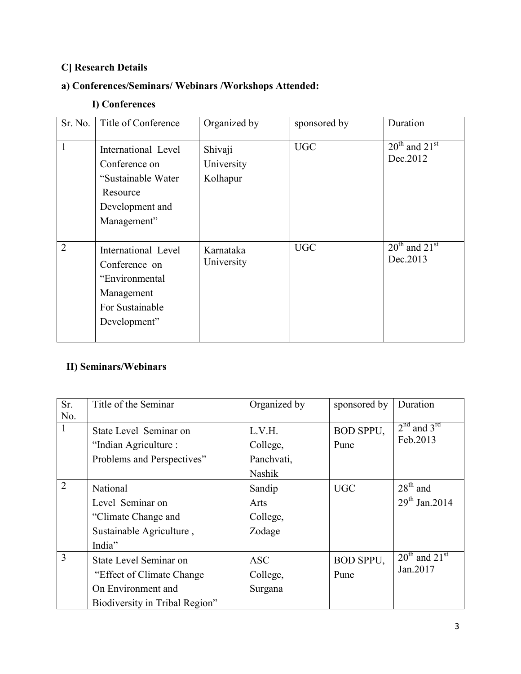## **C] Research Details**

## **a) Conferences/Seminars/ Webinars /Workshops Attended:**

### **I) Conferences**

| Sr. No.        | Title of Conference                                                                                      | Organized by                      | sponsored by | Duration                            |
|----------------|----------------------------------------------------------------------------------------------------------|-----------------------------------|--------------|-------------------------------------|
| 1              | International Level<br>Conference on<br>"Sustainable Water<br>Resource<br>Development and<br>Management" | Shivaji<br>University<br>Kolhapur | <b>UGC</b>   | $20^{th}$ and $21^{st}$<br>Dec.2012 |
| $\overline{2}$ | International Level<br>Conference on<br>"Environmental<br>Management<br>For Sustainable<br>Development"  | Karnataka<br>University           | <b>UGC</b>   | $20^{th}$ and $21^{st}$<br>Dec.2013 |

# **II) Seminars/Webinars**

| Sr.            | Title of the Seminar           | Organized by | sponsored by     | Duration                    |
|----------------|--------------------------------|--------------|------------------|-----------------------------|
| No.            |                                |              |                  |                             |
| $\mathbf{1}$   | State Level Seminar on         | L.V.H.       | <b>BOD SPPU,</b> | $2nd$ and $3rd$             |
|                | "Indian Agriculture:           | College,     | Pune             | Feb.2013                    |
|                | Problems and Perspectives"     | Panchvati,   |                  |                             |
|                |                                | Nashik       |                  |                             |
| $\overline{2}$ | National                       | Sandip       | <b>UGC</b>       | $28th$ and                  |
|                | Level Seminar on               | Arts         |                  | $29^{th}$ Jan. 2014         |
|                | "Climate Change and            | College,     |                  |                             |
|                | Sustainable Agriculture,       | Zodage       |                  |                             |
|                | India"                         |              |                  |                             |
| $\overline{3}$ | State Level Seminar on         | <b>ASC</b>   | <b>BOD SPPU,</b> | $20th$ and 21 <sup>st</sup> |
|                | "Effect of Climate Change"     | College,     | Pune             | Jan.2017                    |
|                | On Environment and             | Surgana      |                  |                             |
|                | Biodiversity in Tribal Region" |              |                  |                             |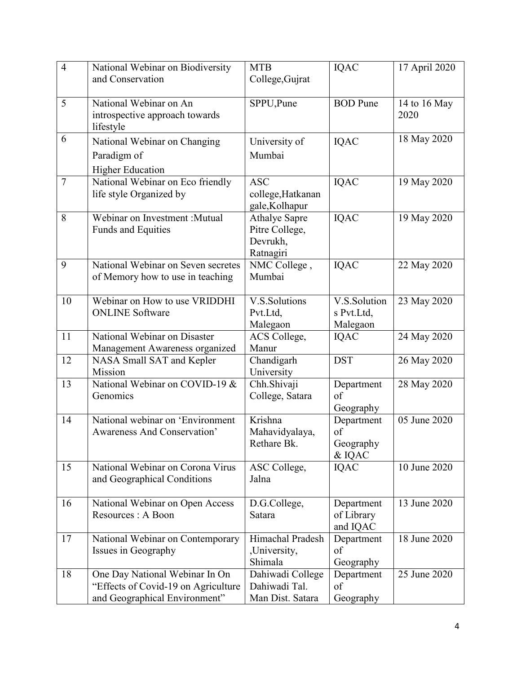| $\overline{4}$ | National Webinar on Biodiversity          | <b>MTB</b>                     | IQAC             | 17 April 2020 |
|----------------|-------------------------------------------|--------------------------------|------------------|---------------|
|                | and Conservation                          | College, Gujrat                |                  |               |
|                |                                           |                                |                  |               |
| 5              | National Webinar on An                    | SPPU, Pune                     | <b>BOD</b> Pune  | 14 to 16 May  |
|                | introspective approach towards            |                                |                  | 2020          |
|                | lifestyle                                 |                                |                  |               |
| 6              | National Webinar on Changing              | University of                  | IQAC             | 18 May 2020   |
|                | Paradigm of                               | Mumbai                         |                  |               |
|                | <b>Higher Education</b>                   |                                |                  |               |
| $\overline{7}$ | National Webinar on Eco friendly          | <b>ASC</b>                     | <b>IQAC</b>      | 19 May 2020   |
|                | life style Organized by                   | college, Hatkanan              |                  |               |
|                |                                           | gale, Kolhapur                 |                  |               |
| 8              | Webinar on Investment : Mutual            | <b>Athalye Sapre</b>           | IQAC             | 19 May 2020   |
|                | <b>Funds and Equities</b>                 | Pitre College,                 |                  |               |
|                |                                           | Devrukh,                       |                  |               |
|                |                                           | Ratnagiri                      |                  |               |
| 9              | National Webinar on Seven secretes        | NMC College,                   | <b>IQAC</b>      | 22 May 2020   |
|                | of Memory how to use in teaching          | Mumbai                         |                  |               |
|                |                                           |                                |                  |               |
| 10             | Webinar on How to use VRIDDHI             | V.S.Solutions                  | V.S.Solution     | 23 May 2020   |
|                | <b>ONLINE</b> Software                    | Pvt.Ltd,                       | s Pvt.Ltd,       |               |
|                |                                           | Malegaon                       | Malegaon         |               |
| 11             | National Webinar on Disaster              | ACS College,                   | IQAC             | 24 May 2020   |
|                | Management Awareness organized            | Manur                          |                  |               |
| 12             | NASA Small SAT and Kepler                 | Chandigarh                     | <b>DST</b>       | 26 May 2020   |
| 13             | Mission<br>National Webinar on COVID-19 & | University                     |                  |               |
|                | Genomics                                  | Chh.Shivaji<br>College, Satara | Department<br>of | 28 May 2020   |
|                |                                           |                                | Geography        |               |
| 14             | National webinar on 'Environment          | Krishna                        | Department       | 05 June 2020  |
|                | Awareness And Conservation'               | Mahavidyalaya,                 | of               |               |
|                |                                           | Rethare Bk.                    | Geography        |               |
|                |                                           |                                | & IQAC           |               |
| 15             | National Webinar on Corona Virus          | ASC College,                   | IQAC             | 10 June 2020  |
|                | and Geographical Conditions               | Jalna                          |                  |               |
|                |                                           |                                |                  |               |
| 16             | National Webinar on Open Access           | D.G.College,                   | Department       | 13 June 2020  |
|                | Resources : A Boon                        | Satara                         | of Library       |               |
|                |                                           |                                | and IQAC         |               |
| 17             | National Webinar on Contemporary          | Himachal Pradesh               | Department       | 18 June 2020  |
|                | Issues in Geography                       | ,University,                   | of               |               |
|                |                                           | Shimala                        | Geography        |               |
| 18             | One Day National Webinar In On            | Dahiwadi College               | Department       | 25 June 2020  |
|                | "Effects of Covid-19 on Agriculture"      | Dahiwadi Tal.                  | of               |               |
|                | and Geographical Environment"             | Man Dist. Satara               | Geography        |               |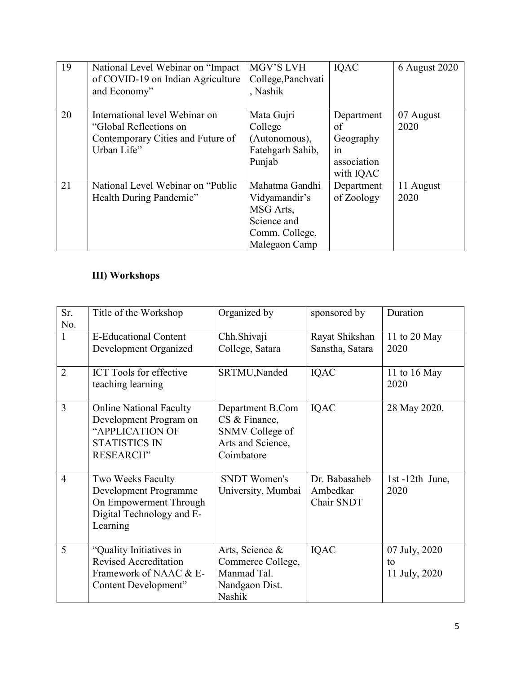| 19 | National Level Webinar on "Impact<br>of COVID-19 on Indian Agriculture<br>and Economy"                       | MGV'S LVH<br>College, Panchvati<br>, Nashik                                                    | <b>IOAC</b>                                                     | 6 August 2020     |
|----|--------------------------------------------------------------------------------------------------------------|------------------------------------------------------------------------------------------------|-----------------------------------------------------------------|-------------------|
| 20 | International level Webinar on<br>"Global Reflections on<br>Contemporary Cities and Future of<br>Urban Life" | Mata Gujri<br>College<br>(Autonomous),<br>Fatehgarh Sahib,<br>Punjab                           | Department<br>of<br>Geography<br>in<br>association<br>with IQAC | 07 August<br>2020 |
| 21 | National Level Webinar on "Public"<br>Health During Pandemic"                                                | Mahatma Gandhi<br>Vidyamandir's<br>MSG Arts,<br>Science and<br>Comm. College,<br>Malegaon Camp | Department<br>of Zoology                                        | 11 August<br>2020 |

## **III) Workshops**

| Sr.            | Title of the Workshop                                                                                                   | Organized by                                                                            | sponsored by                            | Duration                             |
|----------------|-------------------------------------------------------------------------------------------------------------------------|-----------------------------------------------------------------------------------------|-----------------------------------------|--------------------------------------|
| No.            |                                                                                                                         |                                                                                         |                                         |                                      |
| $\mathbf{1}$   | <b>E-Educational Content</b>                                                                                            | Chh.Shivaji                                                                             | Rayat Shikshan                          | 11 to 20 May                         |
|                | Development Organized                                                                                                   | College, Satara                                                                         | Sanstha, Satara                         | 2020                                 |
| $\overline{2}$ | <b>ICT</b> Tools for effective<br>teaching learning                                                                     | SRTMU, Nanded                                                                           | <b>IQAC</b>                             | 11 to 16 May<br>2020                 |
| 3              | <b>Online National Faculty</b><br>Development Program on<br>"APPLICATION OF<br><b>STATISTICS IN</b><br><b>RESEARCH"</b> | Department B.Com<br>CS & Finance,<br>SNMV College of<br>Arts and Science,<br>Coimbatore | <b>IQAC</b>                             | 28 May 2020.                         |
| $\overline{4}$ | Two Weeks Faculty<br>Development Programme<br>On Empowerment Through<br>Digital Technology and E-<br>Learning           | <b>SNDT Women's</b><br>University, Mumbai                                               | Dr. Babasaheb<br>Ambedkar<br>Chair SNDT | 1st-12th June,<br>2020               |
| 5              | "Quality Initiatives in<br><b>Revised Accreditation</b><br>Framework of NAAC & E-<br>Content Development"               | Arts, Science &<br>Commerce College,<br>Manmad Tal.<br>Nandgaon Dist.<br>Nashik         | <b>IQAC</b>                             | 07 July, 2020<br>to<br>11 July, 2020 |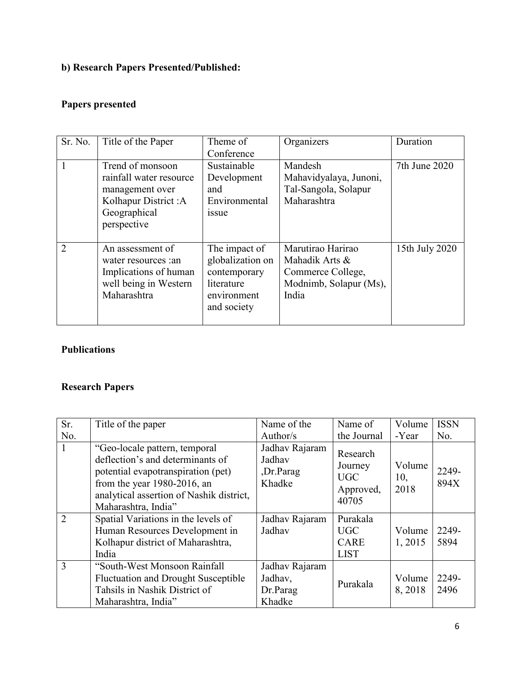## **b) Research Papers Presented/Published:**

## **Papers presented**

| Sr. No.       | Title of the Paper                                                                                                    | Theme of<br>Conference                                                                        | Organizers                                                                                  | Duration       |
|---------------|-----------------------------------------------------------------------------------------------------------------------|-----------------------------------------------------------------------------------------------|---------------------------------------------------------------------------------------------|----------------|
|               | Trend of monsoon<br>rainfall water resource<br>management over<br>Kolhapur District: A<br>Geographical<br>perspective | Sustainable<br>Development<br>and<br>Environmental<br><i>ssue</i>                             | Mandesh<br>Mahavidyalaya, Junoni,<br>Tal-Sangola, Solapur<br>Maharashtra                    | 7th June 2020  |
| $\mathcal{D}$ | An assessment of<br>water resources : an<br>Implications of human<br>well being in Western<br>Maharashtra             | The impact of<br>globalization on<br>contemporary<br>literature<br>environment<br>and society | Marutirao Harirao<br>Mahadik Arts &<br>Commerce College,<br>Modnimb, Solapur (Ms),<br>India | 15th July 2020 |

### **Publications**

# **Research Papers**

| Sr.           | Title of the paper                                                                                                                                                                                           | Name of the                                     | Name of                                                 | Volume                | <b>ISSN</b>   |
|---------------|--------------------------------------------------------------------------------------------------------------------------------------------------------------------------------------------------------------|-------------------------------------------------|---------------------------------------------------------|-----------------------|---------------|
| No.           |                                                                                                                                                                                                              | Author/s                                        | the Journal                                             | -Year                 | No.           |
|               | "Geo-locale pattern, temporal<br>deflection's and determinants of<br>potential evapotranspiration (pet)<br>from the year $1980-2016$ , an<br>analytical assertion of Nashik district,<br>Maharashtra, India" | Jadhav Rajaram<br>Jadhav<br>,Dr.Parag<br>Khadke | Research<br>Journey<br><b>UGC</b><br>Approved,<br>40705 | Volume<br>10,<br>2018 | 2249-<br>894X |
| $\mathcal{D}$ | Spatial Variations in the levels of<br>Human Resources Development in<br>Kolhapur district of Maharashtra,<br>India                                                                                          | Jadhav Rajaram<br>Jadhav                        | Purakala<br><b>UGC</b><br><b>CARE</b><br><b>LIST</b>    | Volume<br>1, 2015     | 2249-<br>5894 |
| $\mathcal{R}$ | "South-West Monsoon Rainfall"<br><b>Fluctuation and Drought Susceptible</b><br>Tahsils in Nashik District of<br>Maharashtra, India"                                                                          | Jadhav Rajaram<br>Jadhav,<br>Dr.Parag<br>Khadke | Purakala                                                | Volume<br>8,2018      | 2249-<br>2496 |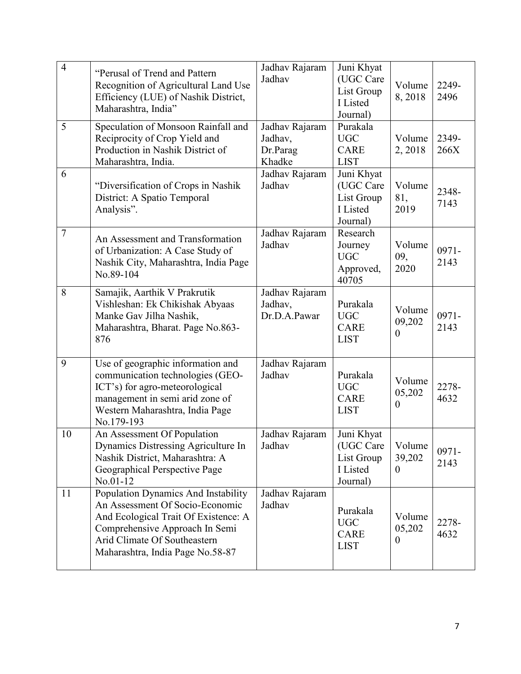| $\overline{4}$ | "Perusal of Trend and Pattern<br>Recognition of Agricultural Land Use<br>Efficiency (LUE) of Nashik District,<br>Maharashtra, India"                                                                                 | Jadhav Rajaram<br>Jadhav                        | Juni Khyat<br>(UGC Care<br>List Group<br>I Listed<br>Journal) | Volume<br>8,2018                   | 2249-<br>2496    |
|----------------|----------------------------------------------------------------------------------------------------------------------------------------------------------------------------------------------------------------------|-------------------------------------------------|---------------------------------------------------------------|------------------------------------|------------------|
| 5              | Speculation of Monsoon Rainfall and<br>Reciprocity of Crop Yield and<br>Production in Nashik District of<br>Maharashtra, India.                                                                                      | Jadhav Rajaram<br>Jadhav,<br>Dr.Parag<br>Khadke | Purakala<br><b>UGC</b><br><b>CARE</b><br><b>LIST</b>          | Volume<br>2, 2018                  | 2349-<br>266X    |
| 6              | "Diversification of Crops in Nashik<br>District: A Spatio Temporal<br>Analysis".                                                                                                                                     | Jadhav Rajaram<br>Jadhav                        | Juni Khyat<br>(UGC Care<br>List Group<br>I Listed<br>Journal) | Volume<br>81,<br>2019              | 2348-<br>7143    |
| $\overline{7}$ | An Assessment and Transformation<br>of Urbanization: A Case Study of<br>Nashik City, Maharashtra, India Page<br>No.89-104                                                                                            | Jadhav Rajaram<br>Jadhav                        | Research<br>Journey<br><b>UGC</b><br>Approved,<br>40705       | Volume<br>09,<br>2020              | $0971 -$<br>2143 |
| 8              | Samajik, Aarthik V Prakrutik<br>Vishleshan: Ek Chikishak Abyaas<br>Manke Gav Jilha Nashik,<br>Maharashtra, Bharat. Page No.863-<br>876                                                                               | Jadhav Rajaram<br>Jadhav,<br>Dr.D.A.Pawar       | Purakala<br><b>UGC</b><br><b>CARE</b><br><b>LIST</b>          | Volume<br>09,202<br>$\overline{0}$ | $0971 -$<br>2143 |
| 9              | Use of geographic information and<br>communication technologies (GEO-<br>ICT's) for agro-meteorological<br>management in semi arid zone of<br>Western Maharashtra, India Page<br>No.179-193                          | Jadhav Rajaram<br>Jadhav                        | Purakala<br><b>UGC</b><br><b>CARE</b><br><b>LIST</b>          | Volume<br>05,202<br>$\theta$       | 2278-<br>4632    |
| 10             | An Assessment Of Population<br>Dynamics Distressing Agriculture In<br>Nashik District, Maharashtra: A<br>Geographical Perspective Page<br>No.01-12                                                                   | Jadhav Rajaram<br>Jadhav                        | Juni Khyat<br>(UGC Care<br>List Group<br>I Listed<br>Journal) | Volume<br>39,202<br>$\theta$       | $0971 -$<br>2143 |
| 11             | Population Dynamics And Instability<br>An Assessment Of Socio-Economic<br>And Ecological Trait Of Existence: A<br>Comprehensive Approach In Semi<br>Arid Climate Of Southeastern<br>Maharashtra, India Page No.58-87 | Jadhav Rajaram<br>Jadhav                        | Purakala<br><b>UGC</b><br><b>CARE</b><br><b>LIST</b>          | Volume<br>05,202<br>$\theta$       | 2278-<br>4632    |